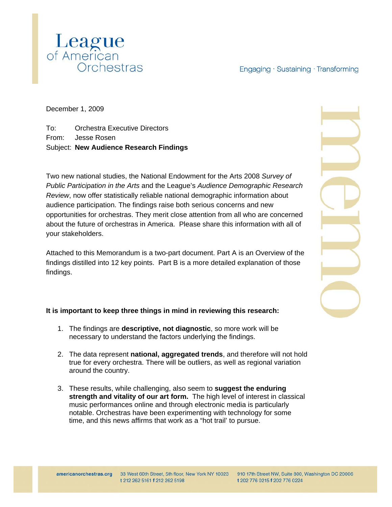## Engaging · Sustaining · Transforming



December 1, 2009

To: Orchestra Executive Directors From: Jesse Rosen Subject: **New Audience Research Findings** 

Two new national studies, the National Endowment for the Arts 2008 *Survey of Public Participation in the Arts* and the League's *Audience Demographic Research Review*, now offer statistically reliable national demographic information about audience participation. The findings raise both serious concerns and new opportunities for orchestras. They merit close attention from all who are concerned about the future of orchestras in America. Please share this information with all of your stakeholders.

Attached to this Memorandum is a two-part document. Part A is an Overview of the findings distilled into 12 key points. Part B is a more detailed explanation of those findings.

## **It is important to keep three things in mind in reviewing this research:**

- 1. The findings are **descriptive, not diagnostic**, so more work will be necessary to understand the factors underlying the findings.
- 2. The data represent **national, aggregated trends**, and therefore will not hold true for every orchestra. There will be outliers, as well as regional variation around the country.
- 3. These results, while challenging, also seem to **suggest the enduring strength and vitality of our art form.** The high level of interest in classical music performances online and through electronic media is particularly notable. Orchestras have been experimenting with technology for some time, and this news affirms that work as a "hot trail' to pursue.

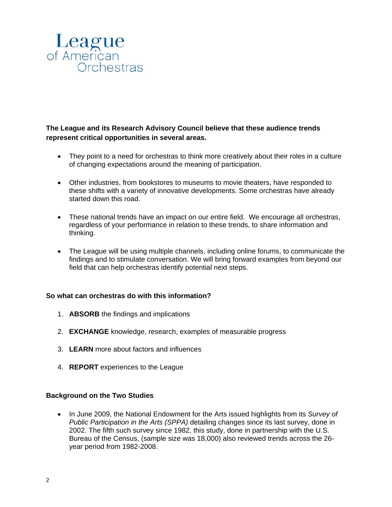

**The League and its Research Advisory Council believe that these audience trends represent critical opportunities in several areas.**

- They point to a need for orchestras to think more creatively about their roles in a culture of changing expectations around the meaning of participation.
- Other industries, from bookstores to museums to movie theaters, have responded to these shifts with a variety of innovative developments. Some orchestras have already started down this road.
- These national trends have an impact on our entire field. We encourage all orchestras, regardless of your performance in relation to these trends, to share information and thinking.
- The League will be using multiple channels, including online forums, to communicate the findings and to stimulate conversation. We will bring forward examples from beyond our field that can help orchestras identify potential next steps.

#### **So what can orchestras do with this information?**

- 1. **ABSORB** the findings and implications
- 2. **EXCHANGE** knowledge, research, examples of measurable progress
- 3. **LEARN** more about factors and influences
- 4. **REPORT** experiences to the League

#### **Background on the Two Studies**

• In June 2009, the National Endowment for the Arts issued highlights from its *Survey of Public Participation in the Arts (SPPA)* detailing changes since its last survey, done in 2002. The fifth such survey since 1982, this study, done in partnership with the U.S. Bureau of the Census, (sample size was 18,000) also reviewed trends across the 26 year period from 1982-2008.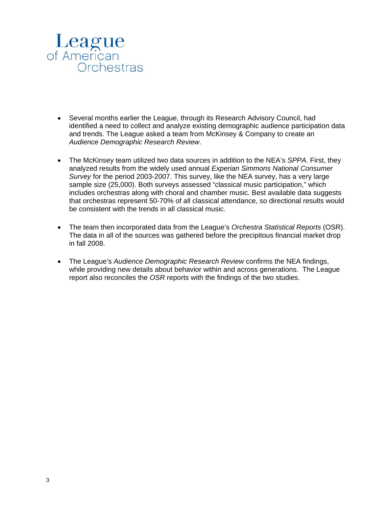

- Several months earlier the League, through its Research Advisory Council, had identified a need to collect and analyze existing demographic audience participation data and trends. The League asked a team from McKinsey & Company to create an *Audience Demographic Research Review*.
- The McKinsey team utilized two data sources in addition to the NEA's *SPPA*. First, they analyzed results from the widely used annual *Experian Simmons National Consumer Survey* for the period 2003-2007. This survey, like the NEA survey, has a very large sample size (25,000). Both surveys assessed "classical music participation," which includes orchestras along with choral and chamber music. Best available data suggests that orchestras represent 50-70% of all classical attendance, so directional results would be consistent with the trends in all classical music.
- The team then incorporated data from the League's *Orchestra Statistical Reports* (OSR). The data in all of the sources was gathered before the precipitous financial market drop in fall 2008.
- The League's *Audience Demographic Research Review* confirms the NEA findings, while providing new details about behavior within and across generations. The League report also reconciles the *OSR* reports with the findings of the two studies.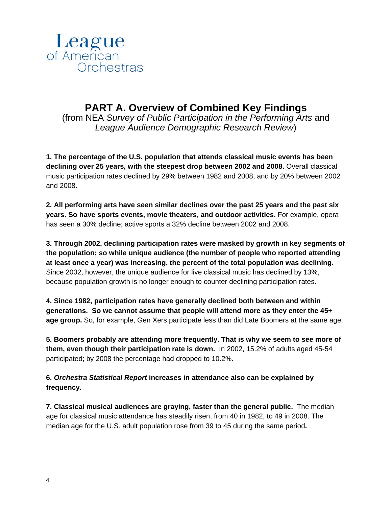

# **PART A. Overview of Combined Key Findings**

(from NEA *Survey of Public Participation in the Performing Arts* and *League Audience Demographic Research Review*)

**1. The percentage of the U.S. population that attends classical music events has been declining over 25 years, with the steepest drop between 2002 and 2008.** Overall classical music participation rates declined by 29% between 1982 and 2008, and by 20% between 2002 and 2008.

**2. All performing arts have seen similar declines over the past 25 years and the past six years. So have sports events, movie theaters, and outdoor activities.** For example, opera has seen a 30% decline; active sports a 32% decline between 2002 and 2008.

**3. Through 2002, declining participation rates were masked by growth in key segments of the population; so while unique audience (the number of people who reported attending at least once a year) was increasing, the percent of the total population was declining.**  Since 2002, however, the unique audience for live classical music has declined by 13%, because population growth is no longer enough to counter declining participation rates**.** 

**4. Since 1982, participation rates have generally declined both between and within generations. So we cannot assume that people will attend more as they enter the 45+ age group.** So, for example, Gen Xers participate less than did Late Boomers at the same age.

**5. Boomers probably are attending more frequently. That is why we seem to see more of them, even though their participation rate is down.** In 2002, 15.2% of adults aged 45-54 participated; by 2008 the percentage had dropped to 10.2%.

**6.** *Orchestra Statistical Report* **increases in attendance also can be explained by frequency.** 

**7. Classical musical audiences are graying, faster than the general public.** The median age for classical music attendance has steadily risen, from 40 in 1982, to 49 in 2008. The median age for the U.S. adult population rose from 39 to 45 during the same period**.**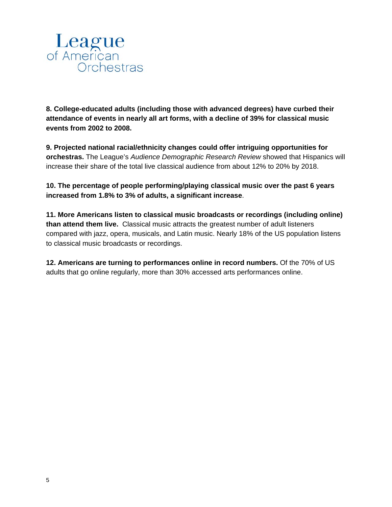

**8. College-educated adults (including those with advanced degrees) have curbed their attendance of events in nearly all art forms, with a decline of 39% for classical music events from 2002 to 2008.** 

**9. Projected national racial/ethnicity changes could offer intriguing opportunities for orchestras.** The League's *Audience Demographic Research Review* showed that Hispanics will increase their share of the total live classical audience from about 12% to 20% by 2018.

**10. The percentage of people performing/playing classical music over the past 6 years increased from 1.8% to 3% of adults, a significant increase**.

**11. More Americans listen to classical music broadcasts or recordings (including online) than attend them live.** Classical music attracts the greatest number of adult listeners compared with jazz, opera, musicals, and Latin music. Nearly 18% of the US population listens to classical music broadcasts or recordings.

**12. Americans are turning to performances online in record numbers.** Of the 70% of US adults that go online regularly, more than 30% accessed arts performances online.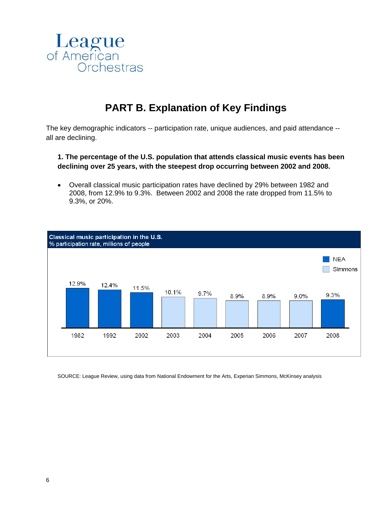

# **PART B. Explanation of Key Findings**

The key demographic indicators -- participation rate, unique audiences, and paid attendance - all are declining.

**1. The percentage of the U.S. population that attends classical music events has been declining over 25 years, with the steepest drop occurring between 2002 and 2008.** 

• Overall classical music participation rates have declined by 29% between 1982 and 2008, from 12.9% to 9.3%. Between 2002 and 2008 the rate dropped from 11.5% to 9.3%, or 20%.



SOURCE: League Review, using data from National Endowment for the Arts, Experian Simmons, McKinsey analysis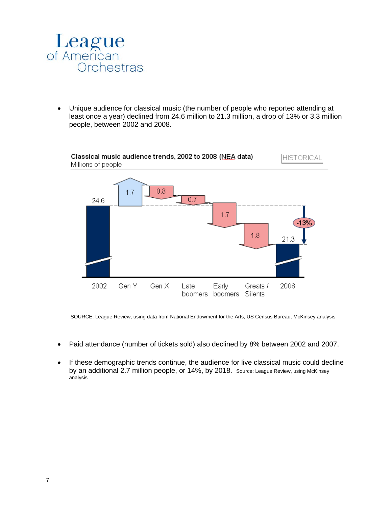

• Unique audience for classical music (the number of people who reported attending at least once a year) declined from 24.6 million to 21.3 million, a drop of 13% or 3.3 million people, between 2002 and 2008.



SOURCE: League Review, using data from National Endowment for the Arts, US Census Bureau, McKinsey analysis

- Paid attendance (number of tickets sold) also declined by 8% between 2002 and 2007.
- If these demographic trends continue, the audience for live classical music could decline by an additional 2.7 million people, or 14%, by 2018. Source: League Review, using McKinsey analysis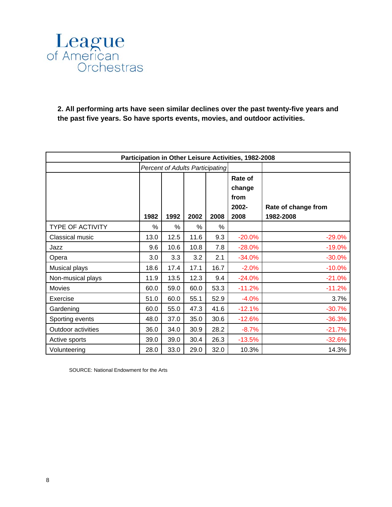

**2. All performing arts have seen similar declines over the past twenty-five years and the past five years. So have sports events, movies, and outdoor activities.** 

| Participation in Other Leisure Activities, 1982-2008 |                                        |      |      |      |                                            |                                  |  |  |  |
|------------------------------------------------------|----------------------------------------|------|------|------|--------------------------------------------|----------------------------------|--|--|--|
|                                                      | <b>Percent of Adults Participating</b> |      |      |      |                                            |                                  |  |  |  |
|                                                      | 1982                                   | 1992 | 2002 | 2008 | Rate of<br>change<br>from<br>2002-<br>2008 | Rate of change from<br>1982-2008 |  |  |  |
| <b>TYPE OF ACTIVITY</b>                              | %                                      | %    | %    | %    |                                            |                                  |  |  |  |
| Classical music                                      | 13.0                                   | 12.5 | 11.6 | 9.3  | $-20.0%$                                   | $-29.0%$                         |  |  |  |
| Jazz                                                 | 9.6                                    | 10.6 | 10.8 | 7.8  | $-28.0%$                                   | $-19.0%$                         |  |  |  |
| Opera                                                | 3.0                                    | 3.3  | 3.2  | 2.1  | $-34.0%$                                   | $-30.0%$                         |  |  |  |
| Musical plays                                        | 18.6                                   | 17.4 | 17.1 | 16.7 | $-2.0%$                                    | $-10.0%$                         |  |  |  |
| Non-musical plays                                    | 11.9                                   | 13.5 | 12.3 | 9.4  | $-24.0%$                                   | $-21.0%$                         |  |  |  |
| <b>Movies</b>                                        | 60.0                                   | 59.0 | 60.0 | 53.3 | $-11.2%$                                   | $-11.2%$                         |  |  |  |
| Exercise                                             | 51.0                                   | 60.0 | 55.1 | 52.9 | $-4.0%$                                    | 3.7%                             |  |  |  |
| Gardening                                            | 60.0                                   | 55.0 | 47.3 | 41.6 | $-12.1%$                                   | $-30.7%$                         |  |  |  |
| Sporting events                                      | 48.0                                   | 37.0 | 35.0 | 30.6 | $-12.6%$                                   | $-36.3%$                         |  |  |  |
| Outdoor activities                                   | 36.0                                   | 34.0 | 30.9 | 28.2 | $-8.7%$                                    | $-21.7%$                         |  |  |  |
| Active sports                                        | 39.0                                   | 39.0 | 30.4 | 26.3 | $-13.5%$                                   | $-32.6%$                         |  |  |  |
| Volunteering                                         | 28.0                                   | 33.0 | 29.0 | 32.0 | 10.3%                                      | 14.3%                            |  |  |  |

SOURCE: National Endowment for the Arts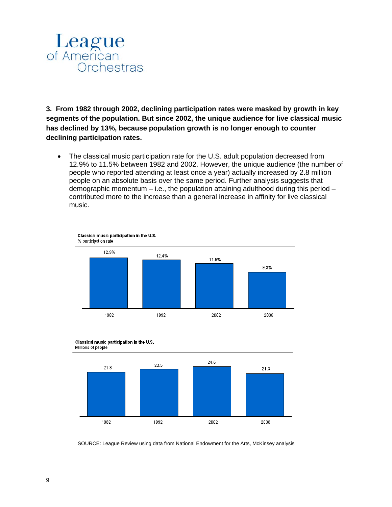

**3. From 1982 through 2002, declining participation rates were masked by growth in key segments of the population. But since 2002, the unique audience for live classical music has declined by 13%, because population growth is no longer enough to counter declining participation rates.** 

• The classical music participation rate for the U.S. adult population decreased from 12.9% to 11.5% between 1982 and 2002. However, the unique audience (the number of people who reported attending at least once a year) actually increased by 2.8 million people on an absolute basis over the same period. Further analysis suggests that demographic momentum  $-$  i.e., the population attaining adulthood during this period  $$ contributed more to the increase than a general increase in affinity for live classical music.







SOURCE: League Review using data from National Endowment for the Arts, McKinsey analysis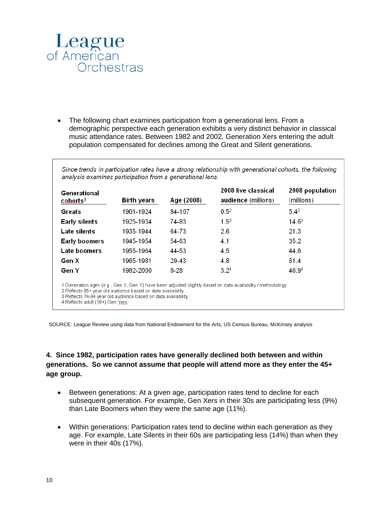

al annual

• The following chart examines participation from a generational lens. From a demographic perspective each generation exhibits a very distinct behavior in classical music attendance rates. Between 1982 and 2002, Generation Xers entering the adult population compensated for declines among the Great and Silent generations.

 $\mathbf{r}$ 

 $\ddot{\phantom{a}}$ 

 $\sim$ 

 $\ddot{\phantom{a}}$ 

 $\overline{a}$ 

| Generational<br>cohorts <sup>1</sup> | <b>Birth years</b> | Age (2008) | 2008 live classical<br>audience (millions) | 2008 population<br>(millions) |
|--------------------------------------|--------------------|------------|--------------------------------------------|-------------------------------|
| Greats                               | 1901-1924          | 84-107     | $0.5^2$                                    | $5.4^2$                       |
| <b>Early silents</b>                 | 1925-1934          | 74-83      | $1.5^{3}$                                  | $14.6^3$                      |
| Late silents                         | 1935-1944          | 64-73      | 2.6                                        | 21.3                          |
| Early boomers                        | 1945-1954          | 54-63      | 4.1                                        | 35.2                          |
| Late boomers                         | 1955-1964          | 44-53      | 4.5                                        | 44.6                          |
| Gen X                                | 1965-1981          | 29-43      | 4.8                                        | 61.4                          |
| Gen Y                                | 1982-2000          | 8-28       | 3.2 <sup>4</sup>                           | 46.94                         |

4 Reflects adult (18+) Gen Yers

SOURCE: League Review using data from National Endowment for the Arts, US Census Bureau, McKinsey analysis

## **4. Since 1982, participation rates have generally declined both between and within generations. So we cannot assume that people will attend more as they enter the 45+ age group.**

- Between generations: At a given age, participation rates tend to decline for each subsequent generation. For example, Gen Xers in their 30s are participating less (9%) than Late Boomers when they were the same age (11%).
- Within generations: Participation rates tend to decline within each generation as they age. For example, Late Silents in their 60s are participating less (14%) than when they were in their 40s (17%).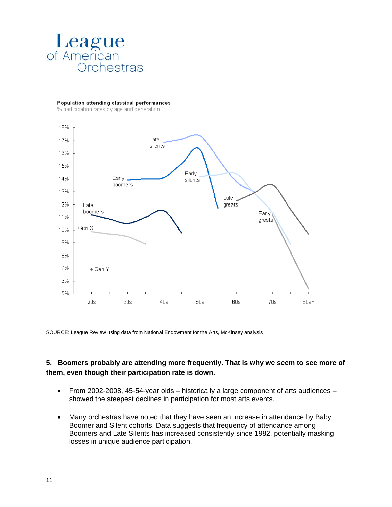

Population attending classical performances

% participation rates by age and generation



SOURCE: League Review using data from National Endowment for the Arts, McKinsey analysis

### **5. Boomers probably are attending more frequently. That is why we seem to see more of them, even though their participation rate is down.**

- From 2002-2008, 45-54-year olds historically a large component of arts audiences showed the steepest declines in participation for most arts events.
- Many orchestras have noted that they have seen an increase in attendance by Baby Boomer and Silent cohorts. Data suggests that frequency of attendance among Boomers and Late Silents has increased consistently since 1982, potentially masking losses in unique audience participation.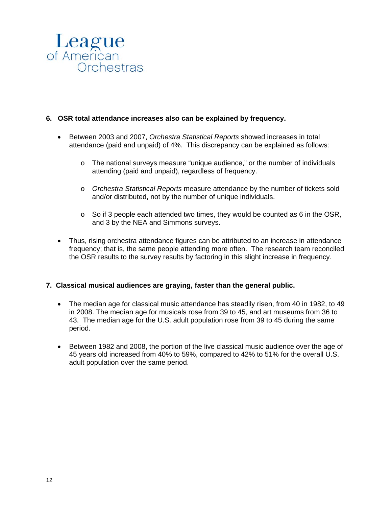

#### **6. OSR total attendance increases also can be explained by frequency.**

- Between 2003 and 2007, *Orchestra Statistical Reports* showed increases in total attendance (paid and unpaid) of 4%. This discrepancy can be explained as follows:
	- o The national surveys measure "unique audience," or the number of individuals attending (paid and unpaid), regardless of frequency.
	- o *Orchestra Statistical Reports* measure attendance by the number of tickets sold and/or distributed, not by the number of unique individuals.
	- o So if 3 people each attended two times, they would be counted as 6 in the OSR, and 3 by the NEA and Simmons surveys.
- Thus, rising orchestra attendance figures can be attributed to an increase in attendance frequency; that is, the same people attending more often. The research team reconciled the OSR results to the survey results by factoring in this slight increase in frequency.

#### **7. Classical musical audiences are graying, faster than the general public.**

- The median age for classical music attendance has steadily risen, from 40 in 1982, to 49 in 2008. The median age for musicals rose from 39 to 45, and art museums from 36 to 43. The median age for the U.S. adult population rose from 39 to 45 during the same period.
- Between 1982 and 2008, the portion of the live classical music audience over the age of 45 years old increased from 40% to 59%, compared to 42% to 51% for the overall U.S. adult population over the same period.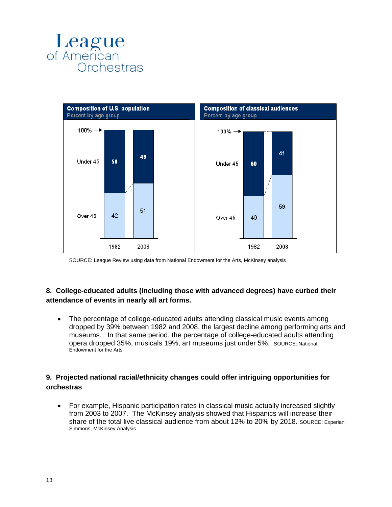



SOURCE: League Review using data from National Endowment for the Arts, McKinsey analysis

## **8. College-educated adults (including those with advanced degrees) have curbed their attendance of events in nearly all art forms.**

• The percentage of college-educated adults attending classical music events among dropped by 39% between 1982 and 2008, the largest decline among performing arts and museums. In that same period, the percentage of college-educated adults attending opera dropped 35%, musicals 19%, art museums just under 5%. SOURCE: National Endowment for the Arts

## **9. Projected national racial/ethnicity changes could offer intriguing opportunities for orchestras**.

• For example, Hispanic participation rates in classical music actually increased slightly from 2003 to 2007. The McKinsey analysis showed that Hispanics will increase their share of the total live classical audience from about 12% to 20% by 2018. SOURCE: Experian Simmons, McKinsey Analysis